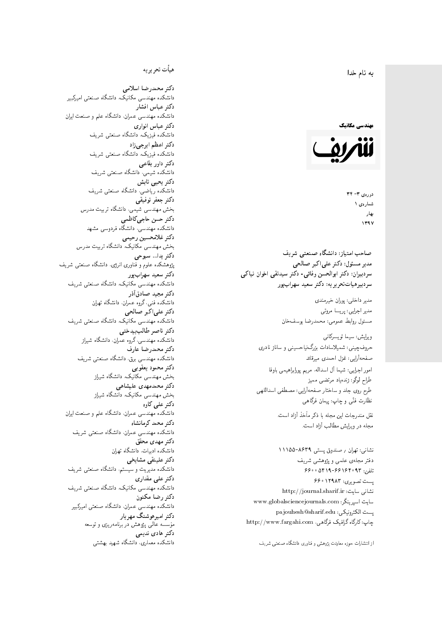#### $\overline{\phantom{a}}$ ز<br>ن به نام خدا .<br>.

#### مهندسی مکانیک



دورەي ٣- ٣٢ شمارەي ۱ بهار 1397

مدیر مسئول: دکتر علیاکبر صالحی  $\overline{a}$ سردبیران: دکتر ابوالحسن وفائی- دکتر سیدنقی اخوان نیاکی سردېيرهياتتحر ير يه : دکتر سعيد سهراب پور

> مدير داخلي: پوران خيرمندي<br>ا مدير اجرايي: پريسا مروتي<br>م مسئول روابط عمومى: محمدرضا يوسفخان<br>.

ويرايش: سيما تويسركان<sub>ى</sub><br>م امور اجرایی: شیما آل اسداله، مریم پورابراهیمی باوفا طراح لوگو: زندهیاد مرتضمی ممیز<br>ا طرح روی جلد و ساختار صفحهآرایی: مصطفی اسداللهی<br>مطلب منتقل نظارت فنّـی و چاپ: پیمان فرگاهی<br>. حروفچینبی: شمیلاسادات بزرگiیاحسینبی و ساناز نادری صفحهآرايي: غزل احمدي ميرقائد

نشانبی: تهران / صندوق پستی ۸۶۳۹-۱۱۱۵۵ دفتر مجلهى علمى و يژوهشى شريف 56000194196969 + 196000 یست تصویری: ۶۶۰٬۱۲۹۸۳ نشانی سایت: http://journal.sharif.ir<br>م سايت اسپرينگر: www.globalsciencejournals.com<br>دادم ساخت pajouhesh@sharif.edu :يست الكترونيكي: چاپ: کارگاه گرافیک فرگاهی، http://www.fargahi.com صاحب امتياز: دانشگاه صنعتى شريف<br>مدر سيوران: دكتر على اكبر صالحى<br>مدر سيوران: دكتر ابوالحسن وفاقى- دكتر سيدتقى اخوا<br>مدر بيرهيات تعريق بريدا أوس وفاقى- دكتر سيدتقى اخوا<br>مدر بيرهيات تعريق بريدا أوسطان وفاقى- دكتر سيدتقى اخوا<br>

#### هيأت تحريريه

دكتر محمدرضا اسلامى مکانیک، دانشگاه صنعتی امیرکبیر<br>. دكتر عباس افشار دانشکده مهندسی عمران، دانشگاه علم و صنعت ایران<br>بحمد مصلحات دكتر عباس انوارى دانشکده فیزیک، دانشگاه صنعتبی شریف<br>محمد استانسا دکتر اعظم ايرج<mark>ي</mark> زاد ، دانشگاه صنعتبی شریف<br>. دکتر داور بقاع**ی** دانشکده شیمی، دانشگاه صنعتی شریف<br>دکتر یحیی تابش دانشکده ریاضی، دانشگاه صنعتی شریف<br>برمسمنستانستان دكتر جعفر توفيقي بخش مهندسی شیمی، دانشگاه تربیت مدرس<br>سم دكتر حسن حاجىكاظمي دانشکده مهندسی، دانشگاه فردوسی مشهد<br>کستفلار م دكتر غلامحسين رحيمي هندسی مکانیک، دانشگاه تربیت مدرس<br>ا دکتر یدا... سبوحی پژوهشکده علوم و فناوری انرژی، دانشگاه صنعتبی شریف دکتر سعید سهرابپور<br>دانشکده مهندسی مکانیک، دانشگاه صنعتی شریف دکتر مجيد صادقاذر ا<br>. دانشکده فنی، گروه عمران، دانشگاه تهران دکتر علیاکبر صالحی = دانشکده مهندسی مکانیک، دانشگاه صنعتی شریف<br>یکستا دکتر ناصر طالب بیدختی r  $\mathfrak{c}$ دانشکده مهندسی، گروه عمران، دانشگاه شیراز<br>مکتب مصدر مقبل علم دكتر محمدرضا عارف دانشکده مهندسی برق، دانشگاه صنعتی شریف<br><mark>دکتر محمود یعقوبی</mark> هندسی مکانیک، دانشگاه شیراز<br>مسدوده مصلوفیاه دکتر محمدمهدی علیشاهی بخش مهندسی مکانیک، دانشگاه شیراز<br>مکتبهای کابی دکتر علی کاوہ دانشکده مهندسی عمران، دانشگاه علم و صنعت ایران<br>بحت دکتر محمد کرمانشاه .<br>. دانشکده مهندسی عمران، دانشگاه صنعتی شریف<br>مکتبر دولت مستق دکتر مهد*ی* محقق دانشکده ادبیات، دانشگاه تهران دکتر علینقی مشایخ<u>ی</u> دانشکده مدیریت و سیستم، دانشگاه صنعتبی شریف<br>محمد باست دکتر علی مقدار*ی* مکانیک، دانشگاه صنعتی شریف<br>. دكتر رضا مكنون دانشکده مهندسی عمران. دانشگاه صنعتی امیرکبیر<br>محمد است میگ دکتر امیرهوشنگ مهریار سه عالمی پژوهش در برنامهریزی و توسعه<br>۱۹ادم خار موسه<br>بر ءُ<br>ك دکتر هادی ندیمی  $\overline{a}$ المحلكة المسلمانية التي تتوقف المسلمان المحل المسلمان المحل المسلمان المحل المحل المحل المحل المحل المحل المحل<br>المحل المحل المحل المحل المحل المحل المحل المحل المحل المحل المحل المحل المحل المحل المحل المحل المحل المحل ال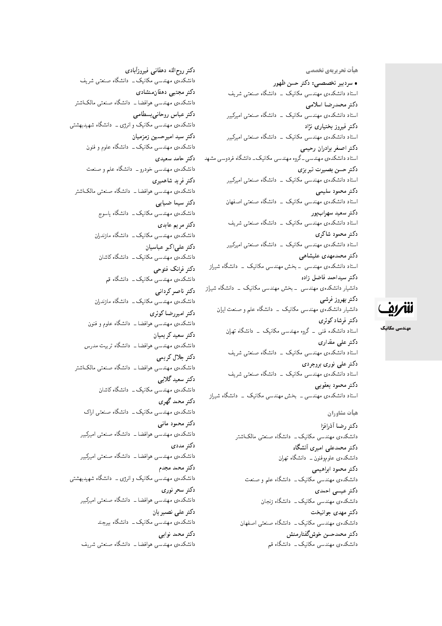هیأت تحریریهی تخ*صص*ی • سردبیر تخصصی: دکتر حسن ظهور استاد دانشکدهی مهندسی مکانیک \_ دانشگاه صنعتی شریف<br>دکتر محمدرضا اسلامی دنتر محمدرضنا اسلامی<br>ا استاد دانشکدهی مهندسی مکانیک ــ دانشگاه صنعتی امیرکبیر<br>م دکتر فیروز بختیار*ی* نژاد استاد دانشکدهی مهندسی مکانیک <mark>ـ دانشگاه صنعتی امیرکبیر</mark> دكتر اصغر برادران رحيمي استاد دانشکدهی مهندسی ـ گروه مهندسی مکانیک ـ دانشگاه فردوسی مشهد دكتر حسن بصيرت تبريزي استاد دانشکدهی مهندسی مکانیک <mark>– دانشگاه صنعتی امیرکبیر</mark> دكتر محمود سليمي استاد دانشکدهی مهندسی مکانیک <mark>– دانشگاه صنعتی اصفهان</mark> دكتر سعيد سهرابپور استاد دانشکدهی مهندسی مکانیک \_ دانشگاه صنعتی شریف دكتر محمود شاكرى استاد دانشکدهی مهندسی مکانیک <mark>ـ دانشگاه صنعتی امیرکبیر</mark> دكتر محمدمهدى عليشاهي استاد دانشکدهی مهندسی <mark>ـ بخش مهندسی مکانیک ـ دانشگاه</mark> شی<sub>ل</sub>از دكتر سيداحمد فاضل زاده دانشیار دانشکدهی مهندسی – بخش مهندسی مکانیک – دانشگاه شیراز دكتر بهروز فرشي دانشیار دانشکدهی مهندسی مکانیک – دانشگاه علم و صنعت ایران دكتر فرشاد كوثرى استاد دانشکده فنبی ــ گروه مهندسی مکانیک ــ دانشگاه تهران دکتر عل*ی* مقداری استاد دانشکدهی مهندسی مکانیک ـــ دانشگاه صنعتی شریف دکتر علی نوری بروجردی استاد دانشکدهی مهندسی مکانیک \_ دانشگاه صنعتی شریف دكتر محمود يعقوبي استاد دانشکدهی مهندسبی ــ بخش مهندسبی مکانیک ــ دانشگاه شیراز هيأت مشاوران

دكتر رضا أذرافزا دانشکدهی مهندسی مکانیک ـــ دانشگاه صنعتی مالک\شتر دكتر محمدعلى اميرى أنشكاه دانشکده،ی علمورفنون ــ دانشگاه تهران دكتر محمود ابراهيمي دانشکدهی مهندسی مکانیک ــ دانشگاه علم و صنعت :کتر عیسی احمدی دانشکدهی مهندسی مکانیک ـــ دانشگاه زنجان دكتر مهدى جوانبخت دانشکدهی مهندسی مکانیک ـــ دانشگاه صنعتی اصفهان دكتر محمدحسن خوشگفتارمنش دانشکدهی مهندسی مکانیک ـــ دانشگاه قم

دكتر روح|لله دهقاني فيروزأبادى دانشکدهی مهندسی مکانیک ــ دانشگاه صنعتبی شریف دکتر مجتبی دهقانمنشادی دانشکدهی مهندسی هوافضا ــ دانشگاه صنعتی مالک|شتر دكتر عباس روحاني بسطامي دانشکدهی مهندسی مکانیک و انرژی ــ دانشگاه شهیدبهشتی دكتر سيد اميرحسين زمزميان دانشکدهی مهندسی مکانیک ــ دانشگاه علوم و فنون دكتر حامد سعيدى دانشکدهی مهندسی خودرو ــ دانشگاه علم و صنعت دکتر فرید شاهمیر*ی* دانشکدهی مهندسی هوافضا ــ دانشگاه صنعتبی مالکاشتر دكتر سيما ضيابى دانشکده ی مهندسی مکانیک ــ دانشگاه یاسوج دكتر مريم عابدى دانشکدهی مهندسی مکانیک ــ دانشگاه مازندران دكتر علىاكبر عباسيان دانشکدهی مهندسی مکانیک ــ دانشگاه کاشان دکتر فرانک فتوحی دانشکدهی مهندسی مکانیک ــ دانشگاه قم دكتر ناصر كرداني دانشکدهی مهندسی مکانیک ــ دانشگاه مازندران دكتر اميررضا كوثرى دانشکدهی مهندسی هوافضا ـــ دانشگاه علوم و فنون دكتر سعيد كر يميان دانشکدهی مهندسی هوافضا ــ دانشگاه تربیت مدرس دكتر جلال كريمي دانشکدهی مهندسی هوافضا ــ دانشگاه صنعتی مالکاشتر دكتر سعيد گلاىي دانشکدهی مهندسی مکانیک ــ دانشگاه کاشان دكتر محمد گهري دانشکدهی مهندسی مکانیک ــ دانشگاه صنعتی اراک دكتر محمود مانى دانشکدهی مهندسی هوافضا ــ دانشگاه صنعتی امیرکبیر دكتر مددى دانشکدهی مهندسی هوافضا ــ دانشگاه صنعتی امیرکبیر دكتر محمد مجدم دانشکدهی مهندسی مکانیک و انرژی ــ دانشگاه شهیدبهشتی دکتر سحر نو<u>ری</u> دانشکدهی مهندسی هوافضا ــ دانشگاه صنعتی امیرکبیر دکتر علی نصی<u>ر</u>یان دانشکده یمهندسی مکانیک ــ دانشگاه بیرجند دکتر محمد نوابے

دانشکدهی مهندسی هوافضا ـــ دانشگاه صنعتی شریف

مهندسی مکانیک

للمريق